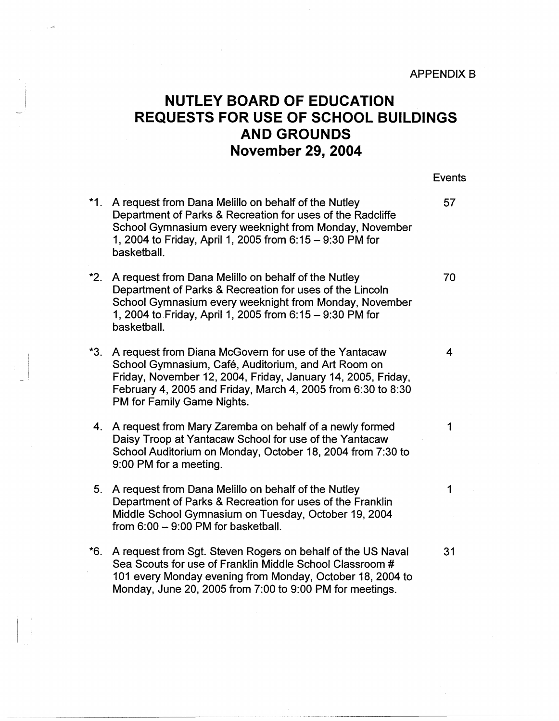## **NUTLEY BOARD OF EDUCATION REQUESTS FOR USE OF SCHOOL BUILDINGS AND GROUNDS November 29, 2004**

**Events** 

--------- ------ -- ---------

- \*1. A request from Dana Melillo on behalf of the Nutley **67** Department of Parks & Recreation for uses of the Radcliffe School Gymnasium every weeknight from Monday, November 1, 2004 to Friday, April 1, 2005 from 6: 15 - 9:30 PM for basketball.
- \*2. A request from Dana Melillo on behalf of the Nutley **70** Department of Parks & Recreation for uses of the Lincoln School Gymnasium every weeknight from Monday, November 1, 2004 to Friday, April 1, 2005 from 6: 15 - 9:30 PM for basketball.
- **\*3.**  A request from Diana McGovern for use of the Yantacaw 4 School Gymnasium, Café, Auditorium, and Art Room on Friday, November 12, 2004, Friday, January 14, 2005, Friday, February 4, 2005 and Friday, March 4, 2005 from 6:30 to 8:30 PM for Family Game Nights.
- 4. A request from Mary Zaremba on behalf of a newly formed  $\hskip1cm \qquad \qquad 1$ Daisy Troop at Yantacaw School for use of the Yantacaw School Auditorium on Monday, October 18, 2004 from 7:30 to 9:00 PM for a meeting.
- 5. A request from Dana Melillo on behalf of the Nutley  $\hphantom{\big(}\qquad \qquad 1$ Department of Parks & Recreation for uses of the Franklin Middle School Gymnasium on Tuesday, October 19, 2004 from  $6:00 - 9:00$  PM for basketball.
- \*6. A request from Sgt. Steven Rogers on behalf of the US Naval 31 Sea Scouts for use of Franklin Middle School Classroom # 101 every Monday evening from Monday, October 18, 2004 to Monday, June 20, 2005 from 7:00 to 9:00 PM for meetings.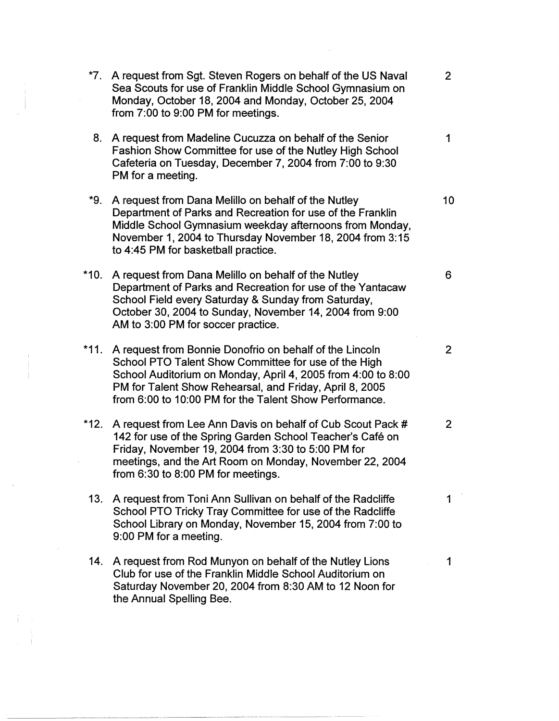- **\*7.** A request from Sgt. Steven Rogers on behalf of the US Naval 2 Sea Scouts for use of Franklin Middle School Gymnasium on Monday, October 18, 2004 and Monday, October 25, 2004 from 7:00 to 9:00 PM for meetings. 8. A request from Madeline Cucuzza on behalf of the Senior 1 Fashion Show Committee for use of the Nutley High School Cafeteria on Tuesday, December 7, 2004 from 7:00 to 9:30 PM for a meeting. **\*9.** A request from Dana Melillo on behalf of the Nutley 10 Department of Parks and Recreation for use of the Franklin Middle School Gymnasium weekday afternoons from Monday, November 1, 2004 to Thursday November 18, 2004 from 3: 15 to 4:45 PM for basketball practice. \*10. A request from Dana Melillo on behalf of the Nutley 6 Department of Parks and Recreation for use of the Yantacaw School Field every Saturday & Sunday from Saturday, October 30, 2004 to Sunday, November 14, 2004 from 9:00 AM to 3:00 PM for soccer practice. **\*11.** A request from Bonnie Donofrio on behalf of the Lincoln 2 School PTO Talent Show Committee for use of the High School Auditorium on Monday, April 4, 2005 from 4:00 to 8:00 PM for Talent Show Rehearsal, and Friday, April 8, 2005
- \*12. A request from Lee Ann Davis on behalf of Cub Scout Pack # 2 142 for use of the Spring Garden School Teacher's Café on Friday, November 19, 2004 from 3:30 to 5:00 PM for meetings, and the Art Room on Monday, November 22, 2004 from 6:30 to 8:00 PM for meetings.

from 6:00 to 10:00 PM for the Talent Show Performance.

- **13.** A request from Toni Ann Sullivan on behalf of the Radcliffe 1 School PTO Tricky Tray Committee for use of the Radcliffe School Library on Monday, November 15, 2004 from 7:00 to 9:00 PM for a meeting.
- **14.** A request from Rod Munyon on behalf of the Nutley Lions 1 Club for use of the Franklin Middle School Auditorium on Saturday November 20, 2004 from 8:30 AM to 12 Noon for the Annual Spelling Bee.

-----------~--·-- --- -~~-